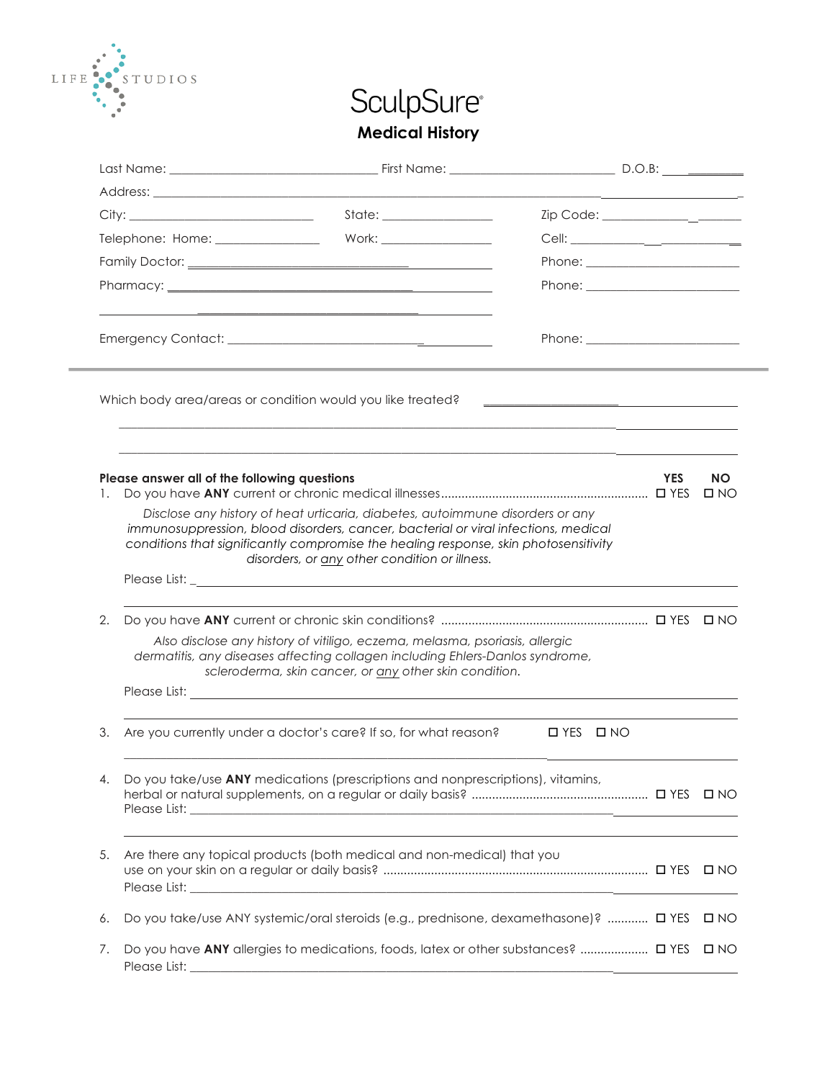

## SculpSure® **Medical History**

|                                  | City:                                        |                                                                                                                                                                                                                                                                                                              |                                                                                                                                                                                                                                |            |                   |  |
|----------------------------------|----------------------------------------------|--------------------------------------------------------------------------------------------------------------------------------------------------------------------------------------------------------------------------------------------------------------------------------------------------------------|--------------------------------------------------------------------------------------------------------------------------------------------------------------------------------------------------------------------------------|------------|-------------------|--|
| Telephone: Home: _______________ |                                              |                                                                                                                                                                                                                                                                                                              |                                                                                                                                                                                                                                |            |                   |  |
|                                  |                                              |                                                                                                                                                                                                                                                                                                              |                                                                                                                                                                                                                                |            |                   |  |
|                                  |                                              |                                                                                                                                                                                                                                                                                                              |                                                                                                                                                                                                                                |            |                   |  |
|                                  |                                              |                                                                                                                                                                                                                                                                                                              |                                                                                                                                                                                                                                |            |                   |  |
|                                  |                                              |                                                                                                                                                                                                                                                                                                              | Phone: the contract of the contract of the contract of the contract of the contract of the contract of the contract of the contract of the contract of the contract of the contract of the contract of the contract of the con |            |                   |  |
|                                  |                                              | Which body area/areas or condition would you like treated?                                                                                                                                                                                                                                                   | <u> 1989 - Johann Harry Harry Harry Harry Harry Harry Harry Harry Harry Harry Harry Harry Harry Harry Harry Harry</u>                                                                                                          |            |                   |  |
| 1.                               | Please answer all of the following questions |                                                                                                                                                                                                                                                                                                              |                                                                                                                                                                                                                                | <b>YES</b> | <b>NO</b><br>D NO |  |
|                                  |                                              | Disclose any history of heat urticaria, diabetes, autoimmune disorders or any<br>immunosuppression, blood disorders, cancer, bacterial or viral infections, medical<br>conditions that significantly compromise the healing response, skin photosensitivity<br>disorders, or any other condition or illness. |                                                                                                                                                                                                                                |            |                   |  |
|                                  |                                              |                                                                                                                                                                                                                                                                                                              |                                                                                                                                                                                                                                |            |                   |  |
| 2.                               |                                              |                                                                                                                                                                                                                                                                                                              |                                                                                                                                                                                                                                |            |                   |  |
|                                  |                                              | Also disclose any history of vitiligo, eczema, melasma, psoriasis, allergic<br>dermatitis, any diseases affecting collagen including Ehlers-Danlos syndrome,<br>scleroderma, skin cancer, or any other skin condition.                                                                                       |                                                                                                                                                                                                                                |            |                   |  |
|                                  |                                              | Please List: <u>example and the set of the set of the set of the set of the set of the set of the set of the set of the set of the set of the set of the set of the set of the set of the set of the set of the set of the set o</u>                                                                         |                                                                                                                                                                                                                                |            |                   |  |
| 3.                               |                                              | Are you currently under a doctor's care? If so, for what reason?                                                                                                                                                                                                                                             | $IYES$ $I'NO$                                                                                                                                                                                                                  |            |                   |  |
| 4.                               |                                              | Do you take/use ANY medications (prescriptions and nonprescriptions), vitamins,                                                                                                                                                                                                                              |                                                                                                                                                                                                                                |            |                   |  |
| 5.                               |                                              | Are there any topical products (both medical and non-medical) that you                                                                                                                                                                                                                                       |                                                                                                                                                                                                                                |            | $\square$ NO      |  |
| 6.                               |                                              | Do you take/use ANY systemic/oral steroids (e.g., prednisone, dexamethasone)?  □ YES                                                                                                                                                                                                                         |                                                                                                                                                                                                                                |            | $\square$ NO      |  |
| 7.                               | Please List:                                 | Do you have ANY allergies to medications, foods, latex or other substances?  DYES<br><u> 1989 - Johann Stoff, deutscher Stoff, der Stoff, der Stoff, der Stoff, der Stoff, der Stoff, der Stoff, der S</u>                                                                                                   |                                                                                                                                                                                                                                |            | $\square$ NO      |  |